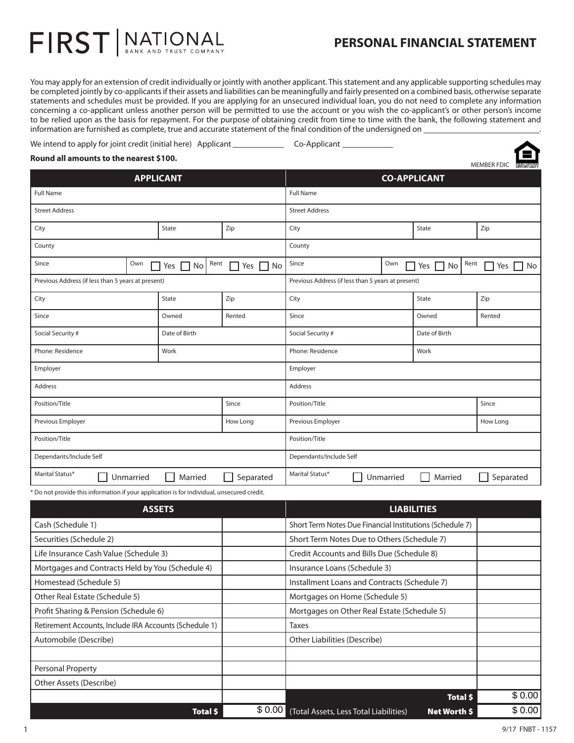## **PERSONAL FINANCIAL STATEMENT**

MEMBER FDIC

You may apply for an extension of credit individually or jointly with another applicant. This statement and any applicable supporting schedules may be completed jointly by co-applicants if their assets and liabilities can be meaningfully and fairly presented on a combined basis, otherwise separate statements and schedules must be provided. If you are applying for an unsecured individual loan, you do not need to complete any information concerning a co-applicant unless another person will be permitted to use the account or you wish the co-applicant's or other person's income to be relied upon as the basis for repayment. For the purpose of obtaining credit from time to time with the bank, the following statement and information are furnished as complete, true and accurate statement of the final condition of the undersigned on .

| We intend to apply for joint credit (initial here) Applicant | Co-Applicant |  |
|--------------------------------------------------------------|--------------|--|
|                                                              |              |  |

## **Round all amounts to the nearest \$100.**

FIRST | NATIONAL

| <b>APPLICANT</b>                                   |                            |                           | <b>CO-APPLICANT</b>                                |           |                  |       |                       |
|----------------------------------------------------|----------------------------|---------------------------|----------------------------------------------------|-----------|------------------|-------|-----------------------|
| <b>Full Name</b>                                   |                            |                           | <b>Full Name</b>                                   |           |                  |       |                       |
| <b>Street Address</b>                              |                            |                           | <b>Street Address</b>                              |           |                  |       |                       |
| City                                               | State                      | Zip                       | City                                               |           | State            |       | Zip                   |
| County                                             |                            |                           | County                                             |           |                  |       |                       |
| Since<br>Own                                       | Rent<br>No<br>Yes    <br>H | $\Box$ No<br>Yes<br>L.    | Since                                              | Own<br>Г  | No<br>Yes $\Box$ | Rent  | N <sub>o</sub><br>Yes |
| Previous Address (if less than 5 years at present) |                            |                           | Previous Address (if less than 5 years at present) |           |                  |       |                       |
| City                                               | State                      | Zip                       | City                                               |           | State            |       | Zip                   |
| Since                                              | Owned                      | Rented                    | Since                                              |           | Owned            |       | Rented                |
| Social Security #                                  | Date of Birth              |                           | Date of Birth<br>Social Security #                 |           |                  |       |                       |
| Phone: Residence                                   | Work                       |                           | Phone: Residence                                   |           | Work             |       |                       |
| Employer                                           |                            |                           | Employer                                           |           |                  |       |                       |
| Address                                            |                            |                           | Address                                            |           |                  |       |                       |
| Position/Title                                     |                            | Since                     | Position/Title                                     |           |                  | Since |                       |
| Previous Employer                                  |                            | How Long                  | Previous Employer                                  |           |                  |       | How Long              |
| Position/Title                                     |                            | Position/Title            |                                                    |           |                  |       |                       |
| Dependants/Include Self                            |                            |                           | Dependants/Include Self                            |           |                  |       |                       |
| Marital Status*<br>Unmarried                       | Married                    | Separated<br>$\mathsf{L}$ | Marital Status*                                    | Unmarried | Married          |       | Separated             |

\* Do not provide this information if your application is for individual, unsecured credit.

| <b>ASSETS</b>                                          |        | <b>LIABILITIES</b>                                       |        |  |
|--------------------------------------------------------|--------|----------------------------------------------------------|--------|--|
| Cash (Schedule 1)                                      |        | Short Term Notes Due Financial Institutions (Schedule 7) |        |  |
| Securities (Schedule 2)                                |        | Short Term Notes Due to Others (Schedule 7)              |        |  |
| Life Insurance Cash Value (Schedule 3)                 |        | Credit Accounts and Bills Due (Schedule 8)               |        |  |
| Mortgages and Contracts Held by You (Schedule 4)       |        | Insurance Loans (Schedule 3)                             |        |  |
| Homestead (Schedule 5)                                 |        | Installment Loans and Contracts (Schedule 7)             |        |  |
| Other Real Estate (Schedule 5)                         |        | Mortgages on Home (Schedule 5)                           |        |  |
| Profit Sharing & Pension (Schedule 6)                  |        | Mortgages on Other Real Estate (Schedule 5)              |        |  |
| Retirement Accounts, Include IRA Accounts (Schedule 1) |        | <b>Taxes</b>                                             |        |  |
| Automobile (Describe)                                  |        | Other Liabilities (Describe)                             |        |  |
|                                                        |        |                                                          |        |  |
| <b>Personal Property</b>                               |        |                                                          |        |  |
| Other Assets (Describe)                                |        |                                                          |        |  |
|                                                        |        | Total \$                                                 | \$0.00 |  |
| Total \$                                               | \$0.00 | (Total Assets, Less Total Liabilities)<br>Net Worth \$   | \$0.00 |  |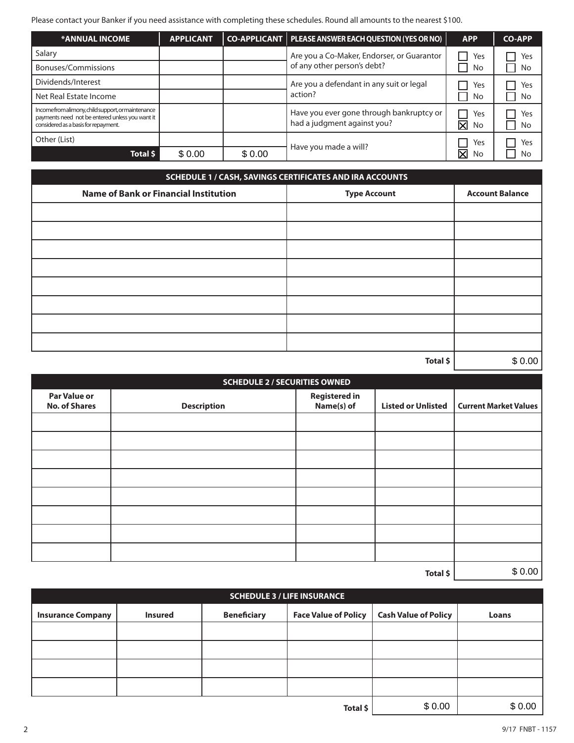Please contact your Banker if you need assistance with completing these schedules. Round all amounts to the nearest \$100.

| <b>*ANNUAL INCOME</b>                                                                                                                       | <b>APPLICANT</b> |        | CO-APPLICANT   PLEASE ANSWER EACH QUESTION (YES OR NO)                  | <b>APP</b>                           | <b>CO-APP</b> |
|---------------------------------------------------------------------------------------------------------------------------------------------|------------------|--------|-------------------------------------------------------------------------|--------------------------------------|---------------|
| Salary                                                                                                                                      |                  |        | Are you a Co-Maker, Endorser, or Guarantor                              | Yes                                  | Yes           |
| Bonuses/Commissions                                                                                                                         |                  |        | of any other person's debt?                                             | No                                   | No            |
| Dividends/Interest                                                                                                                          |                  |        | Are you a defendant in any suit or legal                                | Yes                                  | Yes           |
| Net Real Estate Income                                                                                                                      |                  |        | action?                                                                 | No                                   | No            |
| Incomefromalimony, child support, or maintenance<br>payments need not be entered unless you want it<br>considered as a basis for repayment. |                  |        | Have you ever gone through bankruptcy or<br>had a judgment against you? | Yes<br>$\overline{\textsf{x}}$<br>No | Yes<br>No     |
| Other (List)                                                                                                                                |                  |        |                                                                         | Yes                                  | Yes           |
| Total \$                                                                                                                                    | \$0.00           | \$0.00 | Have you made a will?                                                   | $\overline{\mathsf{x}}$<br>No        | No            |

| SCHEDULE 1 / CASH, SAVINGS CERTIFICATES AND IRA ACCOUNTS |                     |                        |  |  |  |
|----------------------------------------------------------|---------------------|------------------------|--|--|--|
| <b>Name of Bank or Financial Institution</b>             | <b>Type Account</b> | <b>Account Balance</b> |  |  |  |
|                                                          |                     |                        |  |  |  |
|                                                          |                     |                        |  |  |  |
|                                                          |                     |                        |  |  |  |
|                                                          |                     |                        |  |  |  |
|                                                          |                     |                        |  |  |  |
|                                                          |                     |                        |  |  |  |
|                                                          |                     |                        |  |  |  |
|                                                          |                     |                        |  |  |  |
|                                                          | Total \$            | \$0.00                 |  |  |  |

| <b>SCHEDULE 2 / SECURITIES OWNED</b>        |                    |                                    |                           |                              |  |
|---------------------------------------------|--------------------|------------------------------------|---------------------------|------------------------------|--|
| <b>Par Value or</b><br><b>No. of Shares</b> | <b>Description</b> | <b>Registered in</b><br>Name(s) of | <b>Listed or Unlisted</b> | <b>Current Market Values</b> |  |
|                                             |                    |                                    |                           |                              |  |
|                                             |                    |                                    |                           |                              |  |
|                                             |                    |                                    |                           |                              |  |
|                                             |                    |                                    |                           |                              |  |
|                                             |                    |                                    |                           |                              |  |
|                                             |                    |                                    |                           |                              |  |
|                                             |                    |                                    |                           |                              |  |
|                                             |                    |                                    |                           |                              |  |
|                                             | \$0.00             |                                    |                           |                              |  |

| <b>SCHEDULE 3 / LIFE INSURANCE</b> |                |                    |                             |                             |        |  |
|------------------------------------|----------------|--------------------|-----------------------------|-----------------------------|--------|--|
| <b>Insurance Company</b>           | <b>Insured</b> | <b>Beneficiary</b> | <b>Face Value of Policy</b> | <b>Cash Value of Policy</b> | Loans  |  |
|                                    |                |                    |                             |                             |        |  |
|                                    |                |                    |                             |                             |        |  |
|                                    |                |                    |                             |                             |        |  |
|                                    |                |                    |                             |                             |        |  |
|                                    |                |                    | Total \$                    | \$0.00                      | \$0.00 |  |